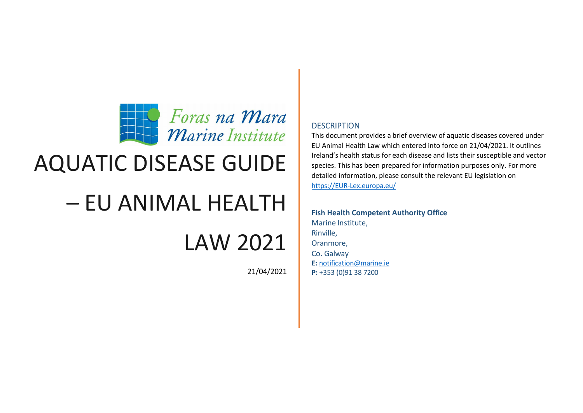

## AQUATIC DISEASE GUIDE

## – EU ANIMAL HEALTH

## LAW 2021

21/04/2021

### **DESCRIPTION**

This document provides a brief overview of aquatic diseases covered under EU Animal Health Law which entered into force on 21/04/2021. It outlines Ireland's health status for each disease and lists their susceptible and vector species. This has been prepared for information purposes only. For more detailed information, please consult the relevant EU legislation on [https://EUR-Lex.europa.eu/](https://eur-lex.europa.eu/)

**Fish Health Competent Authority Office** Marine Institute, Rinville, Oranmore, Co. Galway **E:** [notification@marine.ie](mailto:notification@marine.ie) **P:** +353 (0)91 38 7200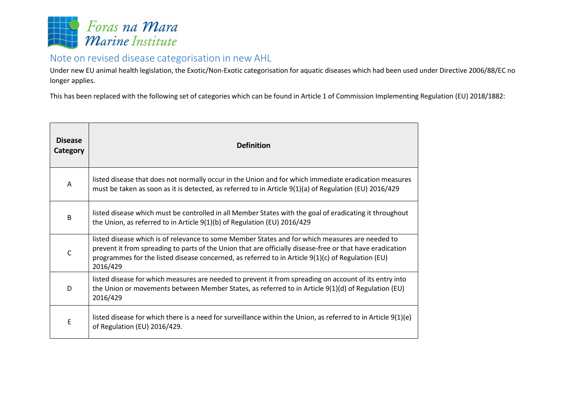

### Note on revised disease categorisation in new AHL

Under new EU animal health legislation, the Exotic/Non-Exotic categorisation for aquatic diseases which had been used under Directive 2006/88/EC no longer applies.

This has been replaced with the following set of categories which can be found in Article 1 of Commission Implementing Regulation (EU) 2018/1882:

| <b>Disease</b><br>Category | <b>Definition</b>                                                                                                                                                                                                                                                                                                             |
|----------------------------|-------------------------------------------------------------------------------------------------------------------------------------------------------------------------------------------------------------------------------------------------------------------------------------------------------------------------------|
| A                          | listed disease that does not normally occur in the Union and for which immediate eradication measures<br>must be taken as soon as it is detected, as referred to in Article $9(1)(a)$ of Regulation (EU) 2016/429                                                                                                             |
| B                          | listed disease which must be controlled in all Member States with the goal of eradicating it throughout<br>the Union, as referred to in Article 9(1)(b) of Regulation (EU) 2016/429                                                                                                                                           |
| C                          | listed disease which is of relevance to some Member States and for which measures are needed to<br>prevent it from spreading to parts of the Union that are officially disease-free or that have eradication<br>programmes for the listed disease concerned, as referred to in Article 9(1)(c) of Regulation (EU)<br>2016/429 |
| D                          | listed disease for which measures are needed to prevent it from spreading on account of its entry into<br>the Union or movements between Member States, as referred to in Article 9(1)(d) of Regulation (EU)<br>2016/429                                                                                                      |
| E                          | listed disease for which there is a need for surveillance within the Union, as referred to in Article $9(1)(e)$<br>of Regulation (EU) 2016/429.                                                                                                                                                                               |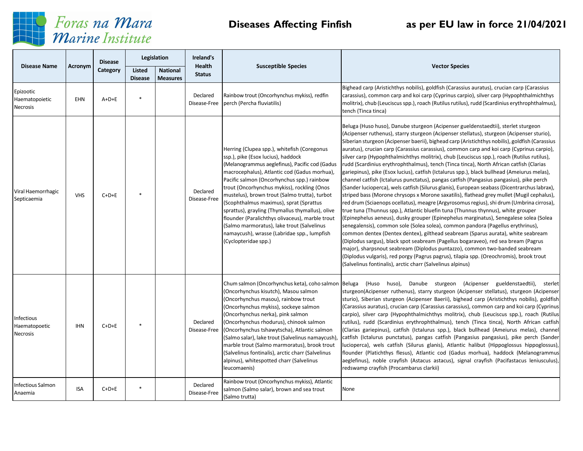

# Foras na Mara<br>Marine Institute

### **Diseases Affecting Finfish as per EU law in force 21/04/2021**

|                                         |            | <b>Disease</b> | Legislation                     |                                    | Ireland's                      |                                                                                                                                                                                                                                                                                                                                                                                                                                                                                                                                                                                                          |                                                                                                                                                                                                                                                                                                                                                                                                                                                                                                                                                                                                                                                                                                                                                                                                                                                                                                                                                                                                                                                                                                                                                                                                                                                                                                                                                                                                                                                                                                                                                                                                                                                                                                                                             |
|-----------------------------------------|------------|----------------|---------------------------------|------------------------------------|--------------------------------|----------------------------------------------------------------------------------------------------------------------------------------------------------------------------------------------------------------------------------------------------------------------------------------------------------------------------------------------------------------------------------------------------------------------------------------------------------------------------------------------------------------------------------------------------------------------------------------------------------|---------------------------------------------------------------------------------------------------------------------------------------------------------------------------------------------------------------------------------------------------------------------------------------------------------------------------------------------------------------------------------------------------------------------------------------------------------------------------------------------------------------------------------------------------------------------------------------------------------------------------------------------------------------------------------------------------------------------------------------------------------------------------------------------------------------------------------------------------------------------------------------------------------------------------------------------------------------------------------------------------------------------------------------------------------------------------------------------------------------------------------------------------------------------------------------------------------------------------------------------------------------------------------------------------------------------------------------------------------------------------------------------------------------------------------------------------------------------------------------------------------------------------------------------------------------------------------------------------------------------------------------------------------------------------------------------------------------------------------------------|
| <b>Disease Name</b>                     | Acronym    | Category       | <b>Listed</b><br><b>Disease</b> | <b>National</b><br><b>Measures</b> | <b>Health</b><br><b>Status</b> | <b>Susceptible Species</b>                                                                                                                                                                                                                                                                                                                                                                                                                                                                                                                                                                               | <b>Vector Species</b>                                                                                                                                                                                                                                                                                                                                                                                                                                                                                                                                                                                                                                                                                                                                                                                                                                                                                                                                                                                                                                                                                                                                                                                                                                                                                                                                                                                                                                                                                                                                                                                                                                                                                                                       |
| Epizootic<br>Haematopoietic<br>Necrosis | EHN        | $A+D+E$        |                                 |                                    | Declared<br>Disease-Free       | Rainbow trout (Oncorhynchus mykiss), redfin<br>perch (Percha fluviatilis)                                                                                                                                                                                                                                                                                                                                                                                                                                                                                                                                | Bighead carp (Aristichthys nobilis), goldfish (Carassius auratus), crucian carp (Carassius<br>carassius), common carp and koi carp (Cyprinus carpio), silver carp (Hypophthalmichthys<br>molitrix), chub (Leuciscus spp.), roach (Rutilus rutilus), rudd (Scardinius erythrophthalmus),<br>tench (Tinca tinca)                                                                                                                                                                                                                                                                                                                                                                                                                                                                                                                                                                                                                                                                                                                                                                                                                                                                                                                                                                                                                                                                                                                                                                                                                                                                                                                                                                                                                              |
| Viral Haemorrhagic<br>Septicaemia       | <b>VHS</b> | $C+D+E$        |                                 |                                    | Declared<br>Disease-Free       | Herring (Clupea spp.), whitefish (Coregonus<br>ssp.), pike (Esox lucius), haddock<br>(Melanogrammus aeglefinus), Pacific cod (Gadus<br>macrocephalus), Atlantic cod (Gadus morhua),<br>Pacific salmon (Oncorhynchus spp.) rainbow<br>trout (Oncorhynchus mykiss), rockling (Onos<br>mustelus), brown trout (Salmo trutta), turbot<br>(Scophthalmus maximus), sprat (Sprattus<br>sprattus), grayling (Thymallus thymallus), olive<br>flounder (Paralichthys olivaceus), marble trout<br>(Salmo marmoratus), lake trout (Salvelinus<br>namaycush), wrasse (Labridae spp., lumpfish<br>(Cyclopteridae spp.) | Beluga (Huso huso), Danube sturgeon (Acipenser gueldenstaedtii), sterlet sturgeon<br>(Acipenser ruthenus), starry sturgeon (Acipenser stellatus), sturgeon (Acipenser sturio),<br>Siberian sturgeon (Acipenser baerii), bighead carp (Aristichthys nobilis), goldfish (Carassius<br>auratus), crucian carp (Carassius carassius), common carp and koi carp (Cyprinus carpio),<br>silver carp (Hypophthalmichthys molitrix), chub (Leuciscus spp.), roach (Rutilus rutilus),<br>rudd (Scardinius erythrophthalmus), tench (Tinca tinca), North African catfish (Clarias<br>gariepinus), pike (Esox lucius), catfish (Ictalurus spp.), black bullhead (Ameiurus melas),<br>channel catfish (Ictalurus punctatus), pangas catfish (Pangasius pangasius), pike perch<br>(Sander lucioperca), wels catfish (Silurus glanis), European seabass (Dicentrarchus labrax),<br>striped bass (Morone chrysops x Morone saxatilis), flathead grey mullet (Mugil cephalus),<br>red drum (Sciaenops ocellatus), meagre (Argyrosomus regius), shi drum (Umbrina cirrosa),<br>true tuna (Thunnus spp.), Atlantic bluefin tuna (Thunnus thynnus), white grouper<br>(Epinephelus aeneus), dusky grouper (Epinephelus marginatus), Senegalese solea (Solea<br>senegalensis), common sole (Solea solea), common pandora (Pagellus erythrinus),<br>common dentex (Dentex dentex), gilthead seabream (Sparus aurata), white seabream<br>(Diplodus sargus), black spot seabream (Pagellus bogaraveo), red sea bream (Pagrus<br>major), sharpsnout seabream (Diplodus puntazzo), common two-banded seabream<br>(Diplodus vulgaris), red porgy (Pagrus pagrus), tilapia spp. (Oreochromis), brook trout<br>(Salvelinus fontinalis), arctic charr (Salvelinus alpinus) |
| Infectious<br>Haematopoetic<br>Necrosis | <b>IHN</b> | $C+D+E$        |                                 |                                    | Declared<br>Disease-Free       | (Oncorhynchus kisutch), Masou salmon<br>(Oncorhynchus masou), rainbow trout<br>(Oncorhynchus mykiss), sockeye salmon<br>(Oncorhynchus nerka), pink salmon<br>(Oncorhynchus rhodurus), chinook salmon<br>(Oncorhynchus tshawytscha), Atlantic salmon<br>(Salmo salar), lake trout (Salvelinus namaycush)<br>marble trout (Salmo marmoratus), brook trout<br>(Salvelinus fontinalis), arctic charr (Salvelinus<br>alpinus), whitespotted charr (Salvelinus<br>leucomaenis)                                                                                                                                 | Chum salmon (Oncorhynchus keta), coho salmon  Beluga (Huso huso), Danube sturgeon (Acipenser gueldenstaedtii),<br>sterlet<br>sturgeon(Acipenser ruthenus), starry sturgeon (Acipenser stellatus), sturgeon (Acipenser<br>sturio), Siberian sturgeon (Acipenser Baerii), bighead carp (Aristichthys nobilis), goldfish<br>(Carassius auratus), crucian carp (Carassius carassius), common carp and koi carp (Cyprinus<br>carpio), silver carp (Hypophthalmichthys molitrix), chub (Leuciscus spp.), roach (Rutilus<br>rutilus), rudd (Scardinius erythrophthalmus), tench (Tinca tinca), North African catfish<br>(Clarias gariepinus), catfish (Ictalurus spp.), black bullhead (Ameiurus melas), channel<br>catfish (Ictalurus punctatus), pangas catfish (Pangasius pangasius), pike perch (Sander<br>lucioperca), wels catfish (Silurus glanis), Atlantic halibut (Hippoglossus hippoglossus),<br>flounder (Platichthys flesus), Atlantic cod (Gadus morhua), haddock (Melanogrammus<br>aeglefinus), noble crayfish (Astacus astacus), signal crayfish (Pacifastacus leniusculus),<br>redswamp crayfish (Procambarus clarkii)                                                                                                                                                                                                                                                                                                                                                                                                                                                                                                                                                                                                            |
| <b>Infectious Salmon</b><br>Anaemia     | <b>ISA</b> | $C+D+E$        | $\star$                         |                                    | Declared<br>Disease-Free       | Rainbow trout (Oncorhynchus mykiss), Atlantic<br>salmon (Salmo salar), brown and sea trout<br>(Salmo trutta)                                                                                                                                                                                                                                                                                                                                                                                                                                                                                             | None                                                                                                                                                                                                                                                                                                                                                                                                                                                                                                                                                                                                                                                                                                                                                                                                                                                                                                                                                                                                                                                                                                                                                                                                                                                                                                                                                                                                                                                                                                                                                                                                                                                                                                                                        |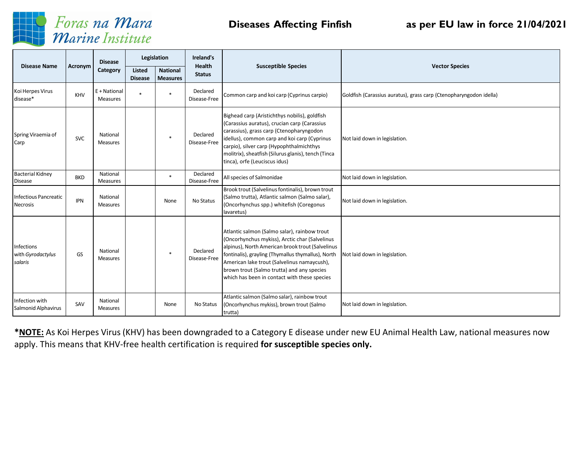

# Foras na Mara<br>Marine Institute

### **Diseases Affecting Finfish as per EU law in force 21/04/2021**

| <b>Disease Name</b>                             |            | <b>Disease</b>              | Legislation                     |                                    | Ireland's<br>Health      | <b>Susceptible Species</b>                                                                                                                                                                                                                                                                                                                            | <b>Vector Species</b>                                              |  |
|-------------------------------------------------|------------|-----------------------------|---------------------------------|------------------------------------|--------------------------|-------------------------------------------------------------------------------------------------------------------------------------------------------------------------------------------------------------------------------------------------------------------------------------------------------------------------------------------------------|--------------------------------------------------------------------|--|
|                                                 | Acronym    | Category                    | <b>Listed</b><br><b>Disease</b> | <b>National</b><br><b>Measures</b> | <b>Status</b>            |                                                                                                                                                                                                                                                                                                                                                       |                                                                    |  |
| Koi Herpes Virus<br>disease*                    | KHV        | E + National<br>Measures    |                                 | ×                                  | Declared<br>Disease-Free | Common carp and koi carp (Cyprinus carpio)                                                                                                                                                                                                                                                                                                            | Goldfish (Carassius auratus), grass carp (Ctenopharyngodon idella) |  |
| Spring Viraemia of<br>Carp                      | <b>SVC</b> | National<br><b>Measures</b> |                                 | $\ast$                             | Declared<br>Disease-Free | Bighead carp (Aristichthys nobilis), goldfish<br>(Carassius auratus), crucian carp (Carassius<br>carassius), grass carp (Ctenopharyngodon<br>idellus), common carp and koi carp (Cyprinus<br>carpio), silver carp (Hypophthalmichthys<br>molitrix), sheatfish (Silurus glanis), tench (Tinca<br>tinca), orfe (Leuciscus idus)                         | Not laid down in legislation.                                      |  |
| <b>Bacterial Kidney</b><br><b>Disease</b>       | <b>BKD</b> | National<br><b>Measures</b> |                                 | $\ast$                             | Declared<br>Disease-Free | All species of Salmonidae<br>Not laid down in legislation.                                                                                                                                                                                                                                                                                            |                                                                    |  |
| <b>Infectious Pancreatic</b><br><b>Necrosis</b> | <b>IPN</b> | National<br><b>Measures</b> |                                 | None                               | No Status                | Brook trout (Salvelinus fontinalis), brown trout<br>(Salmo trutta), Atlantic salmon (Salmo salar),<br>(Oncorhynchus spp.) whitefish (Coregonus<br>lavaretus)                                                                                                                                                                                          | Not laid down in legislation.                                      |  |
| Infections<br>with Gyrodactylus<br>salaris      | GS         | National<br><b>Measures</b> |                                 | $\ast$                             | Declared<br>Disease-Free | Atlantic salmon (Salmo salar), rainbow trout<br>(Oncorhynchus mykiss), Arctic char (Salvelinus<br>alpinus), North American brook trout (Salvelinus<br>fontinalis), grayling (Thymallus thymallus), North<br>American lake trout (Salvelinus namaycush),<br>brown trout (Salmo trutta) and any species<br>which has been in contact with these species | Not laid down in legislation.                                      |  |
| Infection with<br>Salmonid Alphavirus           | SAV        | National<br>Measures        |                                 | None                               | No Status                | Atlantic salmon (Salmo salar), rainbow trout<br>(Oncorhynchus mykiss), brown trout (Salmo<br>trutta)                                                                                                                                                                                                                                                  | Not laid down in legislation.                                      |  |

**\*NOTE:** As Koi Herpes Virus (KHV) has been downgraded to a Category E disease under new EU Animal Health Law, national measures now apply. This means that KHV-free health certification is required **for susceptible species only.**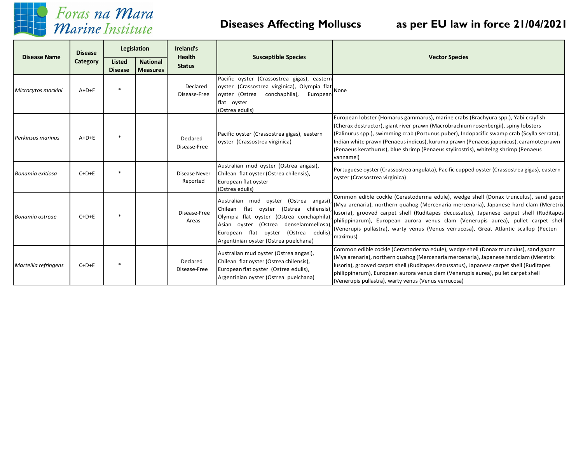

## Foras na Mara Marine Institute

### **Diseases Affecting Molluscs as per EU law in force 21/04/2021**

|                          | <b>Disease</b> | Legislation                     |                                    | Ireland's                        |                                                                                                                                                                                                                                                                        |                                                                                                                                                                                                                                                                                                                                                                                                                                                                    |  |
|--------------------------|----------------|---------------------------------|------------------------------------|----------------------------------|------------------------------------------------------------------------------------------------------------------------------------------------------------------------------------------------------------------------------------------------------------------------|--------------------------------------------------------------------------------------------------------------------------------------------------------------------------------------------------------------------------------------------------------------------------------------------------------------------------------------------------------------------------------------------------------------------------------------------------------------------|--|
| <b>Disease Name</b>      | Category       | <b>Listed</b><br><b>Disease</b> | <b>National</b><br><b>Measures</b> | <b>Health</b><br><b>Status</b>   | <b>Susceptible Species</b>                                                                                                                                                                                                                                             | <b>Vector Species</b>                                                                                                                                                                                                                                                                                                                                                                                                                                              |  |
| Microcytos mackini       | $A+D+E$        |                                 |                                    | Declared<br>Disease-Free         | Pacific oyster (Crassostrea gigas), eastern<br>oyster (Crassostrea virginica), Olympia flat<br>oyster (Ostrea<br>conchaphila),<br>European<br>flat oyster<br>(Ostrea edulis)                                                                                           | None                                                                                                                                                                                                                                                                                                                                                                                                                                                               |  |
| <b>Perkinsus marinus</b> | $A+D+E$        |                                 |                                    | Declared<br>Disease-Free         | Pacific oyster (Crassostrea gigas), eastern<br>oyster (Crassostrea virginica)                                                                                                                                                                                          | European lobster (Homarus gammarus), marine crabs (Brachyura spp.), Yabi crayfish<br>(Cherax destructor), giant river prawn (Macrobrachium rosenbergii), spiny lobsters<br>(Palinurus spp.), swimming crab (Portunus puber), Indopacific swamp crab (Scylla serrata),<br>Indian white prawn (Penaeus indicus), kuruma prawn (Penaeus japonicus), caramote prawn<br>(Penaeus kerathurus), blue shrimp (Penaeus stylirostris), whiteleg shrimp (Penaeus<br>vannamei) |  |
| Bonamia exitiosa         | $C+D+E$        |                                 |                                    | <b>Disease Never</b><br>Reported | Australian mud oyster (Ostrea angasi),<br>Chilean flat oyster (Ostrea chilensis),<br>European flat oyster<br>(Ostrea edulis)                                                                                                                                           | Portuguese oyster (Crassostrea angulata), Pacific cupped oyster (Crassostrea gigas), eastern<br>oyster (Crassostrea virginica)                                                                                                                                                                                                                                                                                                                                     |  |
| Bonamia ostreae          | $C+D+E$        |                                 |                                    | Disease-Free<br>Areas            | Australian mud oyster (Ostrea angasi),<br>Chilean flat oyster<br>(Ostrea chilensis),<br>Olympia flat oyster (Ostrea conchaphila),<br>denselammellosa),<br>oyster (Ostrea<br>Asian<br>European flat oyster<br>(Ostrea edulis),<br>Argentinian oyster (Ostrea puelchana) | Common edible cockle (Cerastoderma edule), wedge shell (Donax trunculus), sand gaper<br>(Mya arenaria), northern quahog (Mercenaria mercenaria), Japanese hard clam (Meretrix<br>lusoria), grooved carpet shell (Ruditapes decussatus), Japanese carpet shell (Ruditapes<br>philippinarum), European aurora venus clam (Venerupis aurea), pullet carpet shell<br>(Venerupis pullastra), warty venus (Venus verrucosa), Great Atlantic scallop (Pecten<br>maximus)  |  |
| Marteilia refringens     | $C+D+E$        |                                 |                                    | Declared<br>Disease-Free         | Australian mud oyster (Ostrea angasi),<br>Chilean flat oyster (Ostrea chilensis),<br>European flat oyster (Ostrea edulis),<br>Argentinian oyster (Ostrea puelchana)                                                                                                    | Common edible cockle (Cerastoderma edule), wedge shell (Donax trunculus), sand gaper<br>(Mya arenaria), northern quahog (Mercenaria mercenaria), Japanese hard clam (Meretrix<br>lusoria), grooved carpet shell (Ruditapes decussatus), Japanese carpet shell (Ruditapes<br>philippinarum), European aurora venus clam (Venerupis aurea), pullet carpet shell<br>(Venerupis pullastra), warty venus (Venus verrucosa)                                              |  |